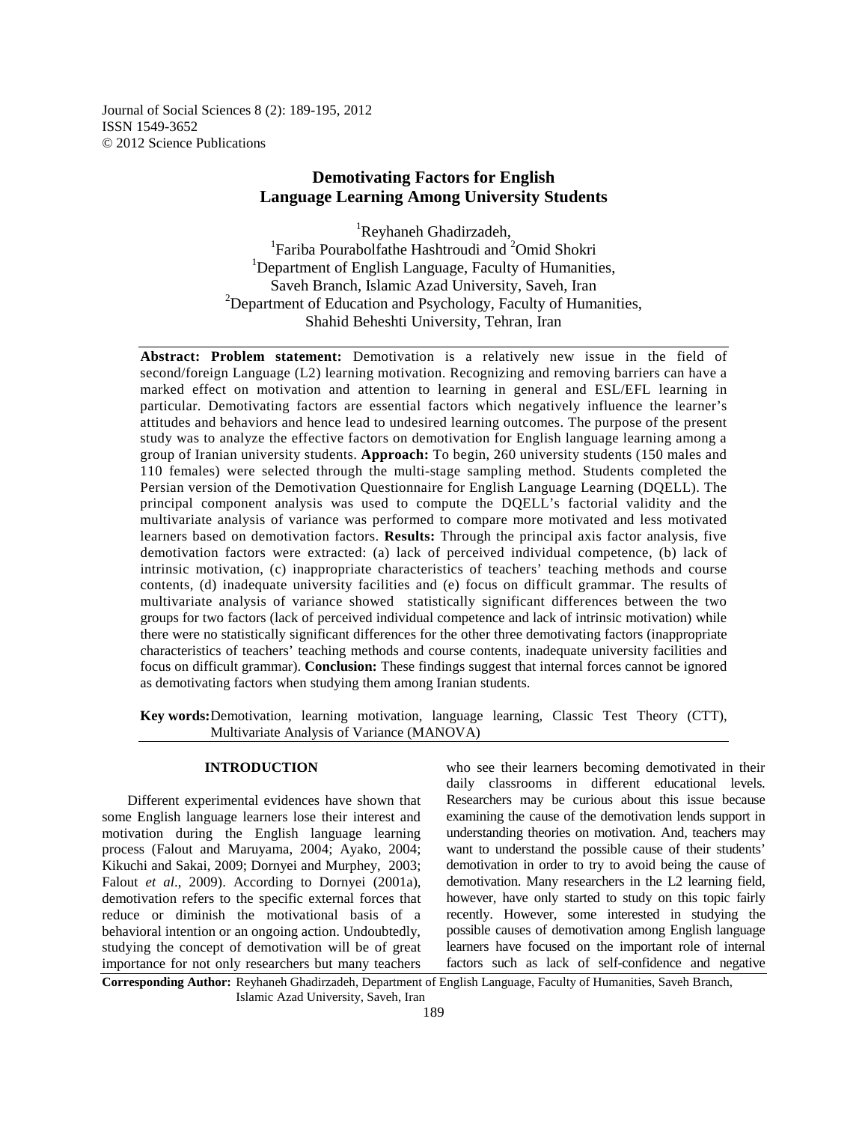Journal of Social Sciences 8 (2): 189-195, 2012 ISSN 1549-3652 © 2012 Science Publications

# **Demotivating Factors for English Language Learning Among University Students**

<sup>1</sup>Reyhaneh Ghadirzadeh, <sup>1</sup>Fariba Pourabolfathe Hashtroudi and <sup>2</sup>Omid Shokri <sup>1</sup>Department of English Language, Faculty of Humanities, Saveh Branch, Islamic Azad University, Saveh, Iran  $2$ Department of Education and Psychology, Faculty of Humanities, Shahid Beheshti University, Tehran, Iran

**Abstract: Problem statement:** Demotivation is a relatively new issue in the field of second/foreign Language (L2) learning motivation. Recognizing and removing barriers can have a marked effect on motivation and attention to learning in general and ESL/EFL learning in particular. Demotivating factors are essential factors which negatively influence the learner's attitudes and behaviors and hence lead to undesired learning outcomes. The purpose of the present study was to analyze the effective factors on demotivation for English language learning among a group of Iranian university students. **Approach:** To begin, 260 university students (150 males and 110 females) were selected through the multi-stage sampling method. Students completed the Persian version of the Demotivation Questionnaire for English Language Learning (DQELL). The principal component analysis was used to compute the DQELL's factorial validity and the multivariate analysis of variance was performed to compare more motivated and less motivated learners based on demotivation factors. **Results:** Through the principal axis factor analysis, five demotivation factors were extracted: (a) lack of perceived individual competence, (b) lack of intrinsic motivation, (c) inappropriate characteristics of teachers' teaching methods and course contents, (d) inadequate university facilities and (e) focus on difficult grammar. The results of multivariate analysis of variance showed statistically significant differences between the two groups for two factors (lack of perceived individual competence and lack of intrinsic motivation) while there were no statistically significant differences for the other three demotivating factors (inappropriate characteristics of teachers' teaching methods and course contents, inadequate university facilities and focus on difficult grammar). **Conclusion:** These findings suggest that internal forces cannot be ignored as demotivating factors when studying them among Iranian students.

**Key words:** Demotivation, learning motivation, language learning, Classic Test Theory (CTT), Multivariate Analysis of Variance (MANOVA)

# **INTRODUCTION**

 Different experimental evidences have shown that some English language learners lose their interest and motivation during the English language learning process (Falout and Maruyama, 2004; Ayako, 2004; Kikuchi and Sakai, 2009; Dornyei and Murphey, 2003; Falout *et al*., 2009). According to Dornyei (2001a), demotivation refers to the specific external forces that reduce or diminish the motivational basis of a behavioral intention or an ongoing action. Undoubtedly, studying the concept of demotivation will be of great importance for not only researchers but many teachers

who see their learners becoming demotivated in their daily classrooms in different educational levels. Researchers may be curious about this issue because examining the cause of the demotivation lends support in understanding theories on motivation. And, teachers may want to understand the possible cause of their students' demotivation in order to try to avoid being the cause of demotivation. Many researchers in the L2 learning field, however, have only started to study on this topic fairly recently. However, some interested in studying the possible causes of demotivation among English language learners have focused on the important role of internal factors such as lack of self-confidence and negative

**Corresponding Author:** Reyhaneh Ghadirzadeh, Department of English Language, Faculty of Humanities, Saveh Branch, Islamic Azad University, Saveh, Iran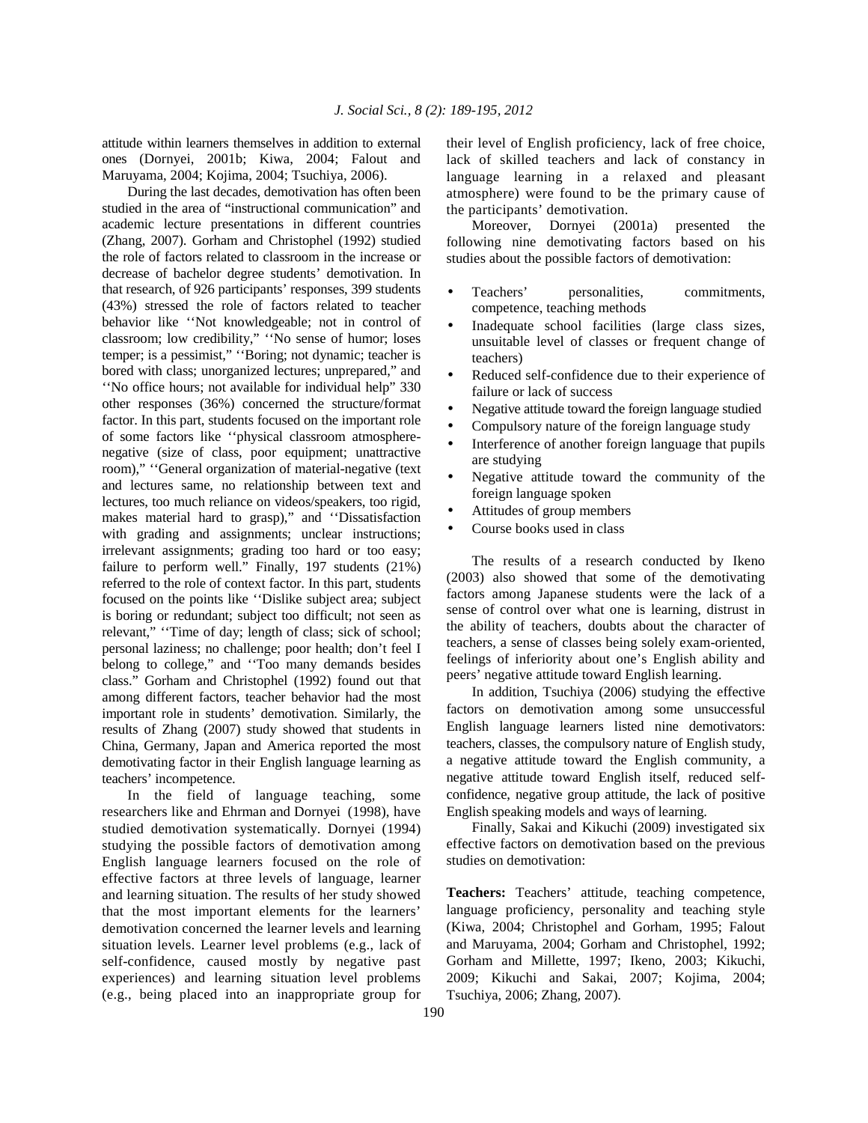attitude within learners themselves in addition to external ones (Dornyei, 2001b; Kiwa, 2004; Falout and Maruyama, 2004; Kojima, 2004; Tsuchiya, 2006).

 During the last decades, demotivation has often been studied in the area of "instructional communication" and academic lecture presentations in different countries (Zhang, 2007). Gorham and Christophel (1992) studied the role of factors related to classroom in the increase or decrease of bachelor degree students' demotivation. In that research, of 926 participants' responses, 399 students (43%) stressed the role of factors related to teacher behavior like ''Not knowledgeable; not in control of classroom; low credibility," ''No sense of humor; loses temper; is a pessimist," ''Boring; not dynamic; teacher is bored with class; unorganized lectures; unprepared," and ''No office hours; not available for individual help" 330 other responses (36%) concerned the structure/format factor. In this part, students focused on the important role of some factors like ''physical classroom atmospherenegative (size of class, poor equipment; unattractive room)," ''General organization of material-negative (text and lectures same, no relationship between text and lectures, too much reliance on videos/speakers, too rigid, makes material hard to grasp)," and ''Dissatisfaction with grading and assignments; unclear instructions; irrelevant assignments; grading too hard or too easy; failure to perform well." Finally, 197 students (21%) referred to the role of context factor. In this part, students focused on the points like ''Dislike subject area; subject is boring or redundant; subject too difficult; not seen as relevant," ''Time of day; length of class; sick of school; personal laziness; no challenge; poor health; don't feel I belong to college," and ''Too many demands besides class." Gorham and Christophel (1992) found out that among different factors, teacher behavior had the most important role in students' demotivation. Similarly, the results of Zhang (2007) study showed that students in China, Germany, Japan and America reported the most demotivating factor in their English language learning as teachers' incompetence.

 In the field of language teaching, some researchers like and Ehrman and Dornyei (1998), have studied demotivation systematically. Dornyei (1994) studying the possible factors of demotivation among English language learners focused on the role of effective factors at three levels of language, learner and learning situation. The results of her study showed that the most important elements for the learners' demotivation concerned the learner levels and learning situation levels. Learner level problems (e.g., lack of self-confidence, caused mostly by negative past experiences) and learning situation level problems (e.g., being placed into an inappropriate group for

their level of English proficiency, lack of free choice, lack of skilled teachers and lack of constancy in language learning in a relaxed and pleasant atmosphere) were found to be the primary cause of the participants' demotivation.

 Moreover, Dornyei (2001a) presented the following nine demotivating factors based on his studies about the possible factors of demotivation:

- Teachers' personalities, commitments, competence, teaching methods
- Inadequate school facilities (large class sizes, unsuitable level of classes or frequent change of teachers)
- Reduced self-confidence due to their experience of failure or lack of success
- Negative attitude toward the foreign language studied
- Compulsory nature of the foreign language study
- Interference of another foreign language that pupils are studying
- Negative attitude toward the community of the foreign language spoken
- Attitudes of group members
- Course books used in class

 The results of a research conducted by Ikeno (2003) also showed that some of the demotivating factors among Japanese students were the lack of a sense of control over what one is learning, distrust in the ability of teachers, doubts about the character of teachers, a sense of classes being solely exam-oriented, feelings of inferiority about one's English ability and peers' negative attitude toward English learning.

 In addition, Tsuchiya (2006) studying the effective factors on demotivation among some unsuccessful English language learners listed nine demotivators: teachers, classes, the compulsory nature of English study, a negative attitude toward the English community, a negative attitude toward English itself, reduced selfconfidence, negative group attitude, the lack of positive English speaking models and ways of learning.

 Finally, Sakai and Kikuchi (2009) investigated six effective factors on demotivation based on the previous studies on demotivation:

**Teachers:** Teachers' attitude, teaching competence, language proficiency, personality and teaching style (Kiwa, 2004; Christophel and Gorham, 1995; Falout and Maruyama, 2004; Gorham and Christophel, 1992; Gorham and Millette, 1997; Ikeno, 2003; Kikuchi, 2009; Kikuchi and Sakai, 2007; Kojima, 2004; Tsuchiya, 2006; Zhang, 2007).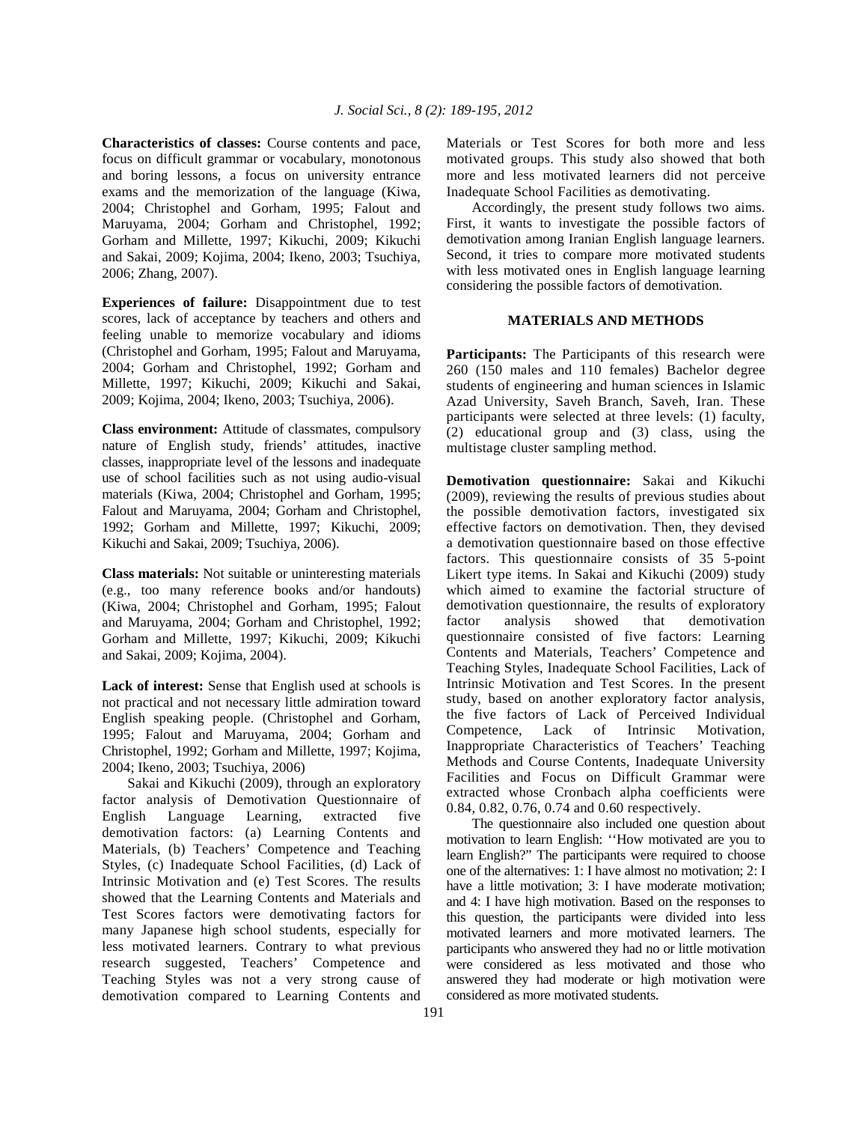**Characteristics of classes:** Course contents and pace, focus on difficult grammar or vocabulary, monotonous and boring lessons, a focus on university entrance exams and the memorization of the language (Kiwa, 2004; Christophel and Gorham, 1995; Falout and Maruyama, 2004; Gorham and Christophel, 1992; Gorham and Millette, 1997; Kikuchi, 2009; Kikuchi and Sakai, 2009; Kojima, 2004; Ikeno, 2003; Tsuchiya, 2006; Zhang, 2007).

**Experiences of failure:** Disappointment due to test scores, lack of acceptance by teachers and others and feeling unable to memorize vocabulary and idioms (Christophel and Gorham, 1995; Falout and Maruyama, 2004; Gorham and Christophel, 1992; Gorham and Millette, 1997; Kikuchi, 2009; Kikuchi and Sakai, 2009; Kojima, 2004; Ikeno, 2003; Tsuchiya, 2006).

**Class environment:** Attitude of classmates, compulsory nature of English study, friends' attitudes, inactive classes, inappropriate level of the lessons and inadequate use of school facilities such as not using audio-visual materials (Kiwa, 2004; Christophel and Gorham, 1995; Falout and Maruyama, 2004; Gorham and Christophel, 1992; Gorham and Millette, 1997; Kikuchi, 2009; Kikuchi and Sakai, 2009; Tsuchiya, 2006).

**Class materials:** Not suitable or uninteresting materials (e.g., too many reference books and/or handouts) (Kiwa, 2004; Christophel and Gorham, 1995; Falout and Maruyama, 2004; Gorham and Christophel, 1992; Gorham and Millette, 1997; Kikuchi, 2009; Kikuchi and Sakai, 2009; Kojima, 2004).

**Lack of interest:** Sense that English used at schools is not practical and not necessary little admiration toward English speaking people. (Christophel and Gorham, 1995; Falout and Maruyama, 2004; Gorham and Christophel, 1992; Gorham and Millette, 1997; Kojima, 2004; Ikeno, 2003; Tsuchiya, 2006)

 Sakai and Kikuchi (2009), through an exploratory factor analysis of Demotivation Questionnaire of English Language Learning, extracted five demotivation factors: (a) Learning Contents and Materials, (b) Teachers' Competence and Teaching Styles, (c) Inadequate School Facilities, (d) Lack of Intrinsic Motivation and (e) Test Scores. The results showed that the Learning Contents and Materials and Test Scores factors were demotivating factors for many Japanese high school students, especially for less motivated learners. Contrary to what previous research suggested, Teachers' Competence and Teaching Styles was not a very strong cause of demotivation compared to Learning Contents and

Materials or Test Scores for both more and less motivated groups. This study also showed that both more and less motivated learners did not perceive Inadequate School Facilities as demotivating.

 Accordingly, the present study follows two aims. First, it wants to investigate the possible factors of demotivation among Iranian English language learners. Second, it tries to compare more motivated students with less motivated ones in English language learning considering the possible factors of demotivation.

# **MATERIALS AND METHODS**

**Participants:** The Participants of this research were 260 (150 males and 110 females) Bachelor degree students of engineering and human sciences in Islamic Azad University, Saveh Branch, Saveh, Iran. These participants were selected at three levels: (1) faculty, (2) educational group and (3) class, using the multistage cluster sampling method.

**Demotivation questionnaire:** Sakai and Kikuchi (2009), reviewing the results of previous studies about the possible demotivation factors, investigated six effective factors on demotivation. Then, they devised a demotivation questionnaire based on those effective factors. This questionnaire consists of 35 5-point Likert type items. In Sakai and Kikuchi (2009) study which aimed to examine the factorial structure of demotivation questionnaire, the results of exploratory factor analysis showed that demotivation questionnaire consisted of five factors: Learning Contents and Materials, Teachers' Competence and Teaching Styles, Inadequate School Facilities, Lack of Intrinsic Motivation and Test Scores. In the present study, based on another exploratory factor analysis, the five factors of Lack of Perceived Individual Competence, Lack of Intrinsic Motivation, Inappropriate Characteristics of Teachers' Teaching Methods and Course Contents, Inadequate University Facilities and Focus on Difficult Grammar were extracted whose Cronbach alpha coefficients were 0.84, 0.82, 0.76, 0.74 and 0.60 respectively.

 The questionnaire also included one question about motivation to learn English: ''How motivated are you to learn English?" The participants were required to choose one of the alternatives: 1: I have almost no motivation; 2: I have a little motivation; 3: I have moderate motivation; and 4: I have high motivation. Based on the responses to this question, the participants were divided into less motivated learners and more motivated learners. The participants who answered they had no or little motivation were considered as less motivated and those who answered they had moderate or high motivation were considered as more motivated students.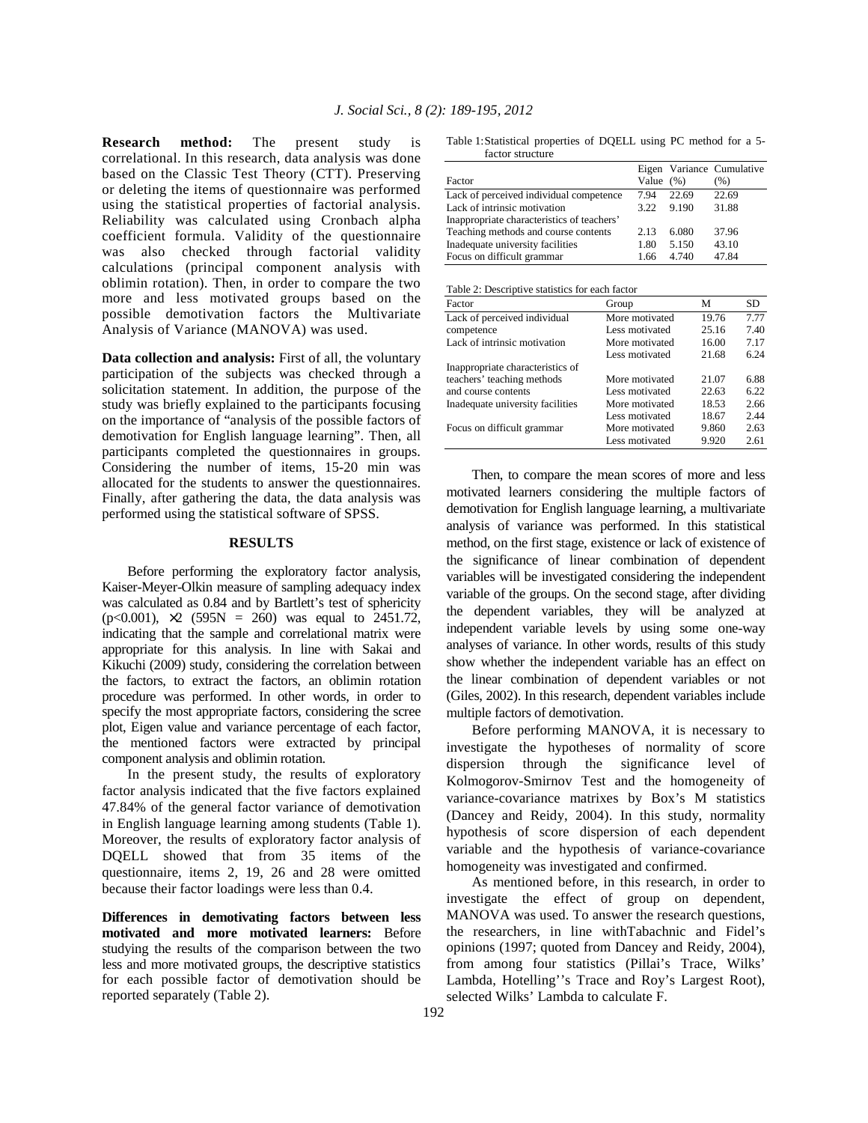**Research method:** The present study is correlational. In this research, data analysis was done based on the Classic Test Theory (CTT). Preserving or deleting the items of questionnaire was performed using the statistical properties of factorial analysis. Reliability was calculated using Cronbach alpha coefficient formula. Validity of the questionnaire was also checked through factorial validity calculations (principal component analysis with oblimin rotation). Then, in order to compare the two more and less motivated groups based on the possible demotivation factors the Multivariate Analysis of Variance (MANOVA) was used.

**Data collection and analysis:** First of all, the voluntary participation of the subjects was checked through a solicitation statement. In addition, the purpose of the study was briefly explained to the participants focusing on the importance of "analysis of the possible factors of demotivation for English language learning". Then, all participants completed the questionnaires in groups. Considering the number of items, 15-20 min was allocated for the students to answer the questionnaires. Finally, after gathering the data, the data analysis was performed using the statistical software of SPSS.

### **RESULTS**

 Before performing the exploratory factor analysis, Kaiser-Meyer-Olkin measure of sampling adequacy index was calculated as 0.84 and by Bartlett's test of sphericity  $(p<0.001)$ ,  $\times$ 2 (595N = 260) was equal to 2451.72, indicating that the sample and correlational matrix were appropriate for this analysis. In line with Sakai and Kikuchi (2009) study, considering the correlation between the factors, to extract the factors, an oblimin rotation procedure was performed. In other words, in order to specify the most appropriate factors, considering the scree plot, Eigen value and variance percentage of each factor, the mentioned factors were extracted by principal component analysis and oblimin rotation.

 In the present study, the results of exploratory factor analysis indicated that the five factors explained 47.84% of the general factor variance of demotivation in English language learning among students (Table 1). Moreover, the results of exploratory factor analysis of DQELL showed that from 35 items of the questionnaire, items 2, 19, 26 and 28 were omitted because their factor loadings were less than 0.4.

**Differences in demotivating factors between less motivated and more motivated learners:** Before studying the results of the comparison between the two less and more motivated groups, the descriptive statistics for each possible factor of demotivation should be reported separately (Table 2).

Table 1: Statistical properties of DQELL using PC method for a 5 factor structure

|                                            |              |       | Eigen Variance Cumulative |
|--------------------------------------------|--------------|-------|---------------------------|
| Factor                                     | Value $(\%)$ |       | (% )                      |
| Lack of perceived individual competence    | 794          | 22.69 | 22.69                     |
| Lack of intrinsic motivation               | 3.22         | 9.190 | 31.88                     |
| Inappropriate characteristics of teachers' |              |       |                           |
| Teaching methods and course contents       | 2.13         | 6.080 | 37.96                     |
| Inadequate university facilities           | 1.80         | 5.150 | 43.10                     |
| Focus on difficult grammar                 | 1.66         | 4 740 | 47.84                     |

| Factor                           | Group          | м     | SD.  |
|----------------------------------|----------------|-------|------|
| Lack of perceived individual     | More motivated | 19.76 | 7.77 |
| competence                       | Less motivated | 25.16 | 7.40 |
| Lack of intrinsic motivation     | More motivated | 16.00 | 7.17 |
|                                  | Less motivated | 21.68 | 6.24 |
| Inappropriate characteristics of |                |       |      |
| teachers' teaching methods       | More motivated | 21.07 | 6.88 |
| and course contents              | Less motivated | 22.63 | 6.22 |
| Inadequate university facilities | More motivated | 18.53 | 2.66 |
|                                  | Less motivated | 18.67 | 2.44 |
| Focus on difficult grammar       | More motivated | 9.860 | 2.63 |
|                                  | Less motivated | 9.920 | 2.61 |

 Then, to compare the mean scores of more and less motivated learners considering the multiple factors of demotivation for English language learning, a multivariate analysis of variance was performed. In this statistical method, on the first stage, existence or lack of existence of the significance of linear combination of dependent variables will be investigated considering the independent variable of the groups. On the second stage, after dividing the dependent variables, they will be analyzed at independent variable levels by using some one-way analyses of variance. In other words, results of this study show whether the independent variable has an effect on the linear combination of dependent variables or not (Giles, 2002). In this research, dependent variables include multiple factors of demotivation.

 Before performing MANOVA, it is necessary to investigate the hypotheses of normality of score dispersion through the significance level of Kolmogorov-Smirnov Test and the homogeneity of variance-covariance matrixes by Box's M statistics (Dancey and Reidy, 2004). In this study, normality hypothesis of score dispersion of each dependent variable and the hypothesis of variance-covariance homogeneity was investigated and confirmed.

 As mentioned before, in this research, in order to investigate the effect of group on dependent, MANOVA was used. To answer the research questions, the researchers, in line withTabachnic and Fidel's opinions (1997; quoted from Dancey and Reidy, 2004), from among four statistics (Pillai's Trace, Wilks' Lambda, Hotelling''s Trace and Roy's Largest Root), selected Wilks' Lambda to calculate F.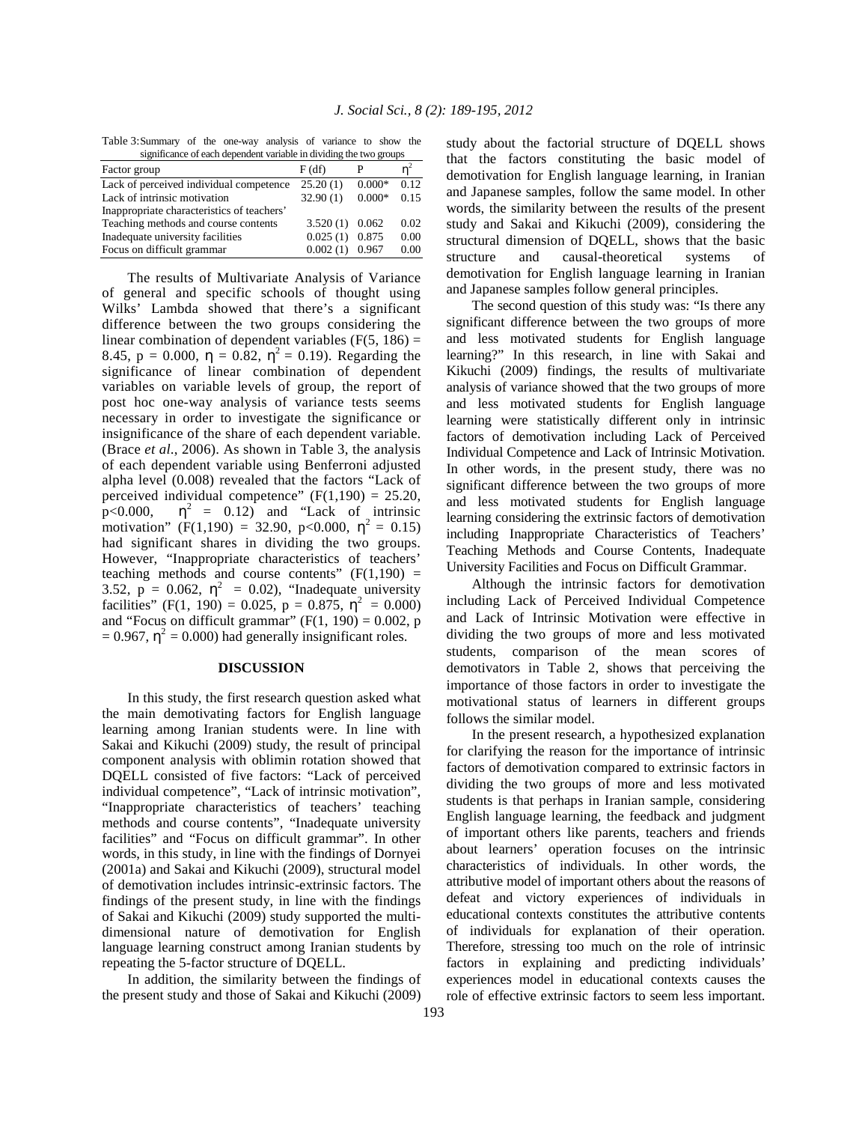Table 3: Summary of the one-way analysis of variance to show the s of each dependent variable in dividing the two

| significance of each dependent variable in dividing the two groups |                  |          |      |  |  |
|--------------------------------------------------------------------|------------------|----------|------|--|--|
| Factor group                                                       | F(df)            |          |      |  |  |
| Lack of perceived individual competence                            | 25.20(1)         | $0.000*$ | 0.12 |  |  |
| Lack of intrinsic motivation                                       | 32.90(1)         | $0.000*$ | 0.15 |  |  |
| Inappropriate characteristics of teachers'                         |                  |          |      |  |  |
| Teaching methods and course contents                               | $3.520(1)$ 0.062 |          | 0.02 |  |  |
| Inadequate university facilities                                   | 0.025(1)         | 0.875    | 0.00 |  |  |
| Focus on difficult grammar                                         | 0.002(1)         | 0.967    | 0.00 |  |  |
|                                                                    |                  |          |      |  |  |

 The results of Multivariate Analysis of Variance of general and specific schools of thought using Wilks' Lambda showed that there's a significant difference between the two groups considering the linear combination of dependent variables  $(F(5, 186)) =$ 8.45,  $p = 0.000$ ,  $\eta = 0.82$ ,  $\eta^2 = 0.19$ ). Regarding the significance of linear combination of dependent variables on variable levels of group, the report of post hoc one-way analysis of variance tests seems necessary in order to investigate the significance or insignificance of the share of each dependent variable. (Brace *et al*., 2006). As shown in Table 3, the analysis of each dependent variable using Benferroni adjusted alpha level (0.008) revealed that the factors "Lack of perceived individual competence"  $(F(1,190) = 25.20,$ p<0.000,  $\eta^2$  = 0.12) and "Lack of intrinsic motivation" (F(1,190) = 32.90, p<0.000,  $\eta^2 = 0.15$ ) had significant shares in dividing the two groups. However, "Inappropriate characteristics of teachers' teaching methods and course contents"  $(F(1,190)$  = 3.52,  $p = 0.062$ ,  $\eta^2 = 0.02$ ), "Inadequate university facilities" (F(1, 190) = 0.025, p = 0.875,  $\eta^2 = 0.000$ ) and "Focus on difficult grammar"  $(F(1, 190) = 0.002, p)$  $= 0.967$ ,  $\eta^2 = 0.000$ ) had generally insignificant roles.

#### **DISCUSSION**

 In this study, the first research question asked what the main demotivating factors for English language learning among Iranian students were. In line with Sakai and Kikuchi (2009) study, the result of principal component analysis with oblimin rotation showed that DQELL consisted of five factors: "Lack of perceived individual competence", "Lack of intrinsic motivation", "Inappropriate characteristics of teachers' teaching methods and course contents", "Inadequate university facilities" and "Focus on difficult grammar". In other words, in this study, in line with the findings of Dornyei (2001a) and Sakai and Kikuchi (2009), structural model of demotivation includes intrinsic-extrinsic factors. The findings of the present study, in line with the findings of Sakai and Kikuchi (2009) study supported the multidimensional nature of demotivation for English language learning construct among Iranian students by repeating the 5-factor structure of DQELL.

 In addition, the similarity between the findings of the present study and those of Sakai and Kikuchi (2009) study about the factorial structure of DQELL shows that the factors constituting the basic model of demotivation for English language learning, in Iranian and Japanese samples, follow the same model. In other words, the similarity between the results of the present study and Sakai and Kikuchi (2009), considering the structural dimension of DQELL, shows that the basic structure and causal-theoretical systems of demotivation for English language learning in Iranian and Japanese samples follow general principles.

 The second question of this study was: "Is there any significant difference between the two groups of more and less motivated students for English language learning?" In this research, in line with Sakai and Kikuchi (2009) findings, the results of multivariate analysis of variance showed that the two groups of more and less motivated students for English language learning were statistically different only in intrinsic factors of demotivation including Lack of Perceived Individual Competence and Lack of Intrinsic Motivation. In other words, in the present study, there was no significant difference between the two groups of more and less motivated students for English language learning considering the extrinsic factors of demotivation including Inappropriate Characteristics of Teachers' Teaching Methods and Course Contents, Inadequate University Facilities and Focus on Difficult Grammar.

 Although the intrinsic factors for demotivation including Lack of Perceived Individual Competence and Lack of Intrinsic Motivation were effective in dividing the two groups of more and less motivated students, comparison of the mean scores of demotivators in Table 2, shows that perceiving the importance of those factors in order to investigate the motivational status of learners in different groups follows the similar model.

 In the present research, a hypothesized explanation for clarifying the reason for the importance of intrinsic factors of demotivation compared to extrinsic factors in dividing the two groups of more and less motivated students is that perhaps in Iranian sample, considering English language learning, the feedback and judgment of important others like parents, teachers and friends about learners' operation focuses on the intrinsic characteristics of individuals. In other words, the attributive model of important others about the reasons of defeat and victory experiences of individuals in educational contexts constitutes the attributive contents of individuals for explanation of their operation. Therefore, stressing too much on the role of intrinsic factors in explaining and predicting individuals' experiences model in educational contexts causes the role of effective extrinsic factors to seem less important.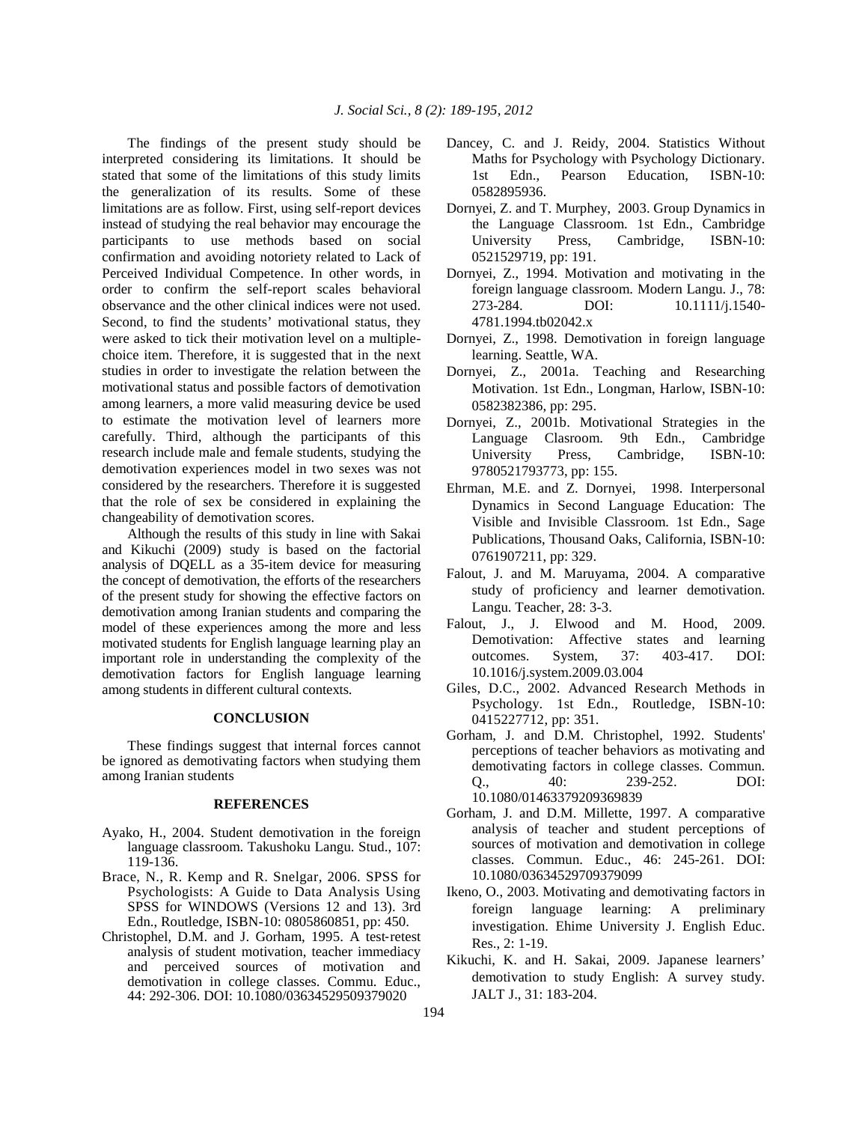The findings of the present study should be interpreted considering its limitations. It should be stated that some of the limitations of this study limits the generalization of its results. Some of these limitations are as follow. First, using self-report devices instead of studying the real behavior may encourage the participants to use methods based on social confirmation and avoiding notoriety related to Lack of Perceived Individual Competence. In other words, in order to confirm the self-report scales behavioral observance and the other clinical indices were not used. Second, to find the students' motivational status, they were asked to tick their motivation level on a multiplechoice item. Therefore, it is suggested that in the next studies in order to investigate the relation between the motivational status and possible factors of demotivation among learners, a more valid measuring device be used to estimate the motivation level of learners more carefully. Third, although the participants of this research include male and female students, studying the demotivation experiences model in two sexes was not considered by the researchers. Therefore it is suggested that the role of sex be considered in explaining the changeability of demotivation scores.

 Although the results of this study in line with Sakai and Kikuchi (2009) study is based on the factorial analysis of DQELL as a 35-item device for measuring the concept of demotivation, the efforts of the researchers of the present study for showing the effective factors on demotivation among Iranian students and comparing the model of these experiences among the more and less motivated students for English language learning play an important role in understanding the complexity of the demotivation factors for English language learning among students in different cultural contexts.

# **CONCLUSION**

 These findings suggest that internal forces cannot be ignored as demotivating factors when studying them among Iranian students

# **REFERENCES**

- Ayako, H., 2004. Student demotivation in the foreign language classroom. Takushoku Langu. Stud., 107: 119-136.
- Brace, N., R. Kemp and R. Snelgar, 2006. SPSS for Psychologists: A Guide to Data Analysis Using SPSS for WINDOWS (Versions 12 and 13). 3rd Edn., Routledge, ISBN-10: 0805860851, pp: 450.
- Christophel, D.M. and J. Gorham, 1995. A test‐retest analysis of student motivation, teacher immediacy and perceived sources of motivation and demotivation in college classes. Commu. Educ., 44: 292-306. DOI: 10.1080/03634529509379020
- Dancey, C. and J. Reidy, 2004. Statistics Without Maths for Psychology with Psychology Dictionary. 1st Edn., Pearson Education, ISBN-10: 0582895936.
- Dornyei, Z. and T. Murphey, 2003. Group Dynamics in the Language Classroom. 1st Edn., Cambridge University Press, Cambridge, ISBN-10: 0521529719, pp: 191.
- Dornyei, Z., 1994. Motivation and motivating in the foreign language classroom. Modern Langu. J., 78: 273-284. DOI: 10.1111/j.1540- 4781.1994.tb02042.x
- Dornyei, Z., 1998. Demotivation in foreign language learning. Seattle, WA.
- Dornyei, Z., 2001a. Teaching and Researching Motivation. 1st Edn., Longman, Harlow, ISBN-10: 0582382386, pp: 295.
- Dornyei, Z., 2001b. Motivational Strategies in the Language Clasroom. 9th Edn., Cambridge University Press, Cambridge, ISBN-10: 9780521793773, pp: 155.
- Ehrman, M.E. and Z. Dornyei, 1998. Interpersonal Dynamics in Second Language Education: The Visible and Invisible Classroom. 1st Edn., Sage Publications, Thousand Oaks, California, ISBN-10: 0761907211, pp: 329.
- Falout, J. and M. Maruyama, 2004. A comparative study of proficiency and learner demotivation. Langu. Teacher, 28: 3-3.
- Falout, J., J. Elwood and M. Hood, 2009. Demotivation: Affective states and learning outcomes. System, 37: 403-417. DOI: 10.1016/j.system.2009.03.004
- Giles, D.C., 2002. Advanced Research Methods in Psychology. 1st Edn., Routledge, ISBN-10: 0415227712, pp: 351.
- Gorham, J. and D.M. Christophel, 1992. Students' perceptions of teacher behaviors as motivating and demotivating factors in college classes. Commun. Q., 40: 239-252. DOI: 10.1080/01463379209369839
- Gorham, J. and D.M. Millette, 1997. A comparative analysis of teacher and student perceptions of sources of motivation and demotivation in college classes. Commun. Educ., 46: 245-261. DOI: 10.1080/03634529709379099
- Ikeno, O., 2003. Motivating and demotivating factors in foreign language learning: A preliminary investigation. Ehime University J. English Educ. Res., 2: 1-19.
- Kikuchi, K. and H. Sakai, 2009. Japanese learners' demotivation to study English: A survey study. JALT J., 31: 183-204.